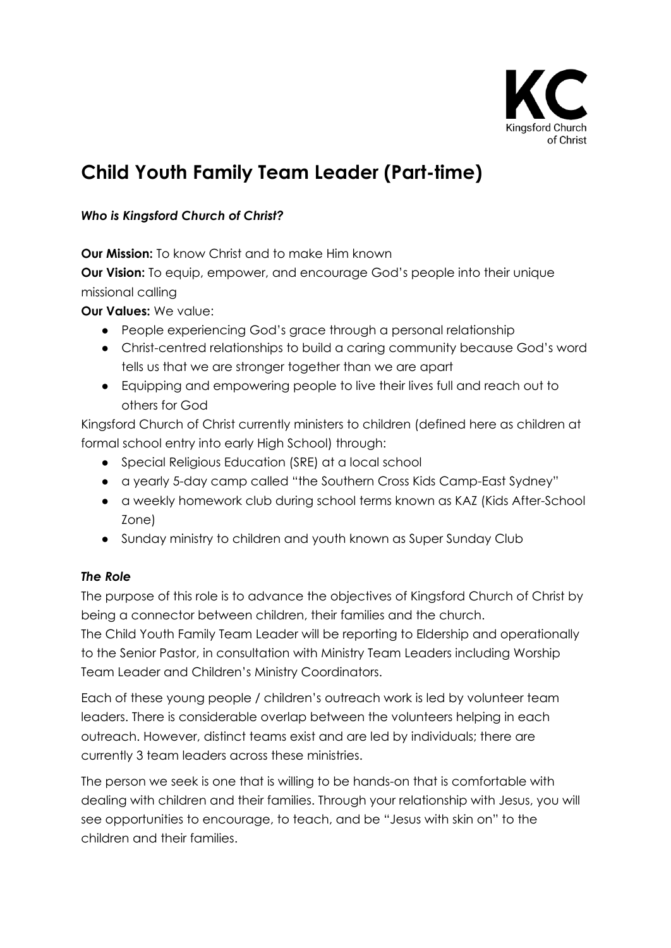

# **Child Youth Family Team Leader (Part-time)**

## *Who is Kingsford Church of Christ?*

**Our Mission:** To know Christ and to make Him known

**Our Vision:** To equip, empower, and encourage God's people into their unique missional calling

**Our Values:** We value:

- People experiencing God's grace through a personal relationship
- Christ-centred relationships to build a caring community because God's word tells us that we are stronger together than we are apart
- Equipping and empowering people to live their lives full and reach out to others for God

Kingsford Church of Christ currently ministers to children (defined here as children at formal school entry into early High School) through:

- Special Religious Education (SRE) at a local school
- a yearly 5-day camp called "the Southern Cross Kids Camp-East Sydney"
- a weekly homework club during school terms known as KAZ (Kids After-School Zone)
- Sunday ministry to children and youth known as Super Sunday Club

### *The Role*

The purpose of this role is to advance the objectives of Kingsford Church of Christ by being a connector between children, their families and the church.

The Child Youth Family Team Leader will be reporting to Eldership and operationally to the Senior Pastor, in consultation with Ministry Team Leaders including Worship Team Leader and Children's Ministry Coordinators.

Each of these young people / children's outreach work is led by volunteer team leaders. There is considerable overlap between the volunteers helping in each outreach. However, distinct teams exist and are led by individuals; there are currently 3 team leaders across these ministries.

The person we seek is one that is willing to be hands-on that is comfortable with dealing with children and their families. Through your relationship with Jesus, you will see opportunities to encourage, to teach, and be "Jesus with skin on" to the children and their families.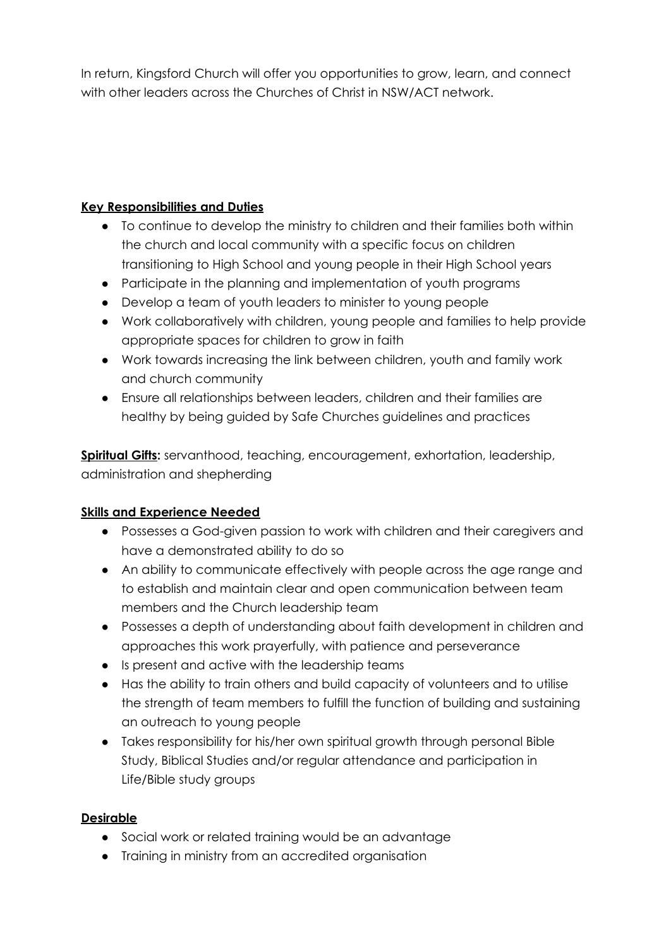In return, Kingsford Church will offer you opportunities to grow, learn, and connect with other leaders across the Churches of Christ in NSW/ACT network.

## **Key Responsibilities and Duties**

- To continue to develop the ministry to children and their families both within the church and local community with a specific focus on children transitioning to High School and young people in their High School years
- Participate in the planning and implementation of youth programs
- Develop a team of youth leaders to minister to young people
- Work collaboratively with children, young people and families to help provide appropriate spaces for children to grow in faith
- Work towards increasing the link between children, youth and family work and church community
- **●** Ensure all relationships between leaders, children and their families are healthy by being guided by Safe Churches guidelines and practices

**Spiritual Gifts:** servanthood, teaching, encouragement, exhortation, leadership, administration and shepherding

# **Skills and Experience Needed**

- Possesses a God-given passion to work with children and their caregivers and have a demonstrated ability to do so
- An ability to communicate effectively with people across the age range and to establish and maintain clear and open communication between team members and the Church leadership team
- Possesses a depth of understanding about faith development in children and approaches this work prayerfully, with patience and perseverance
- Is present and active with the leadership teams
- Has the ability to train others and build capacity of volunteers and to utilise the strength of team members to fulfill the function of building and sustaining an outreach to young people
- Takes responsibility for his/her own spiritual growth through personal Bible Study, Biblical Studies and/or regular attendance and participation in Life/Bible study groups

# **Desirable**

- Social work or related training would be an advantage
- Training in ministry from an accredited organisation